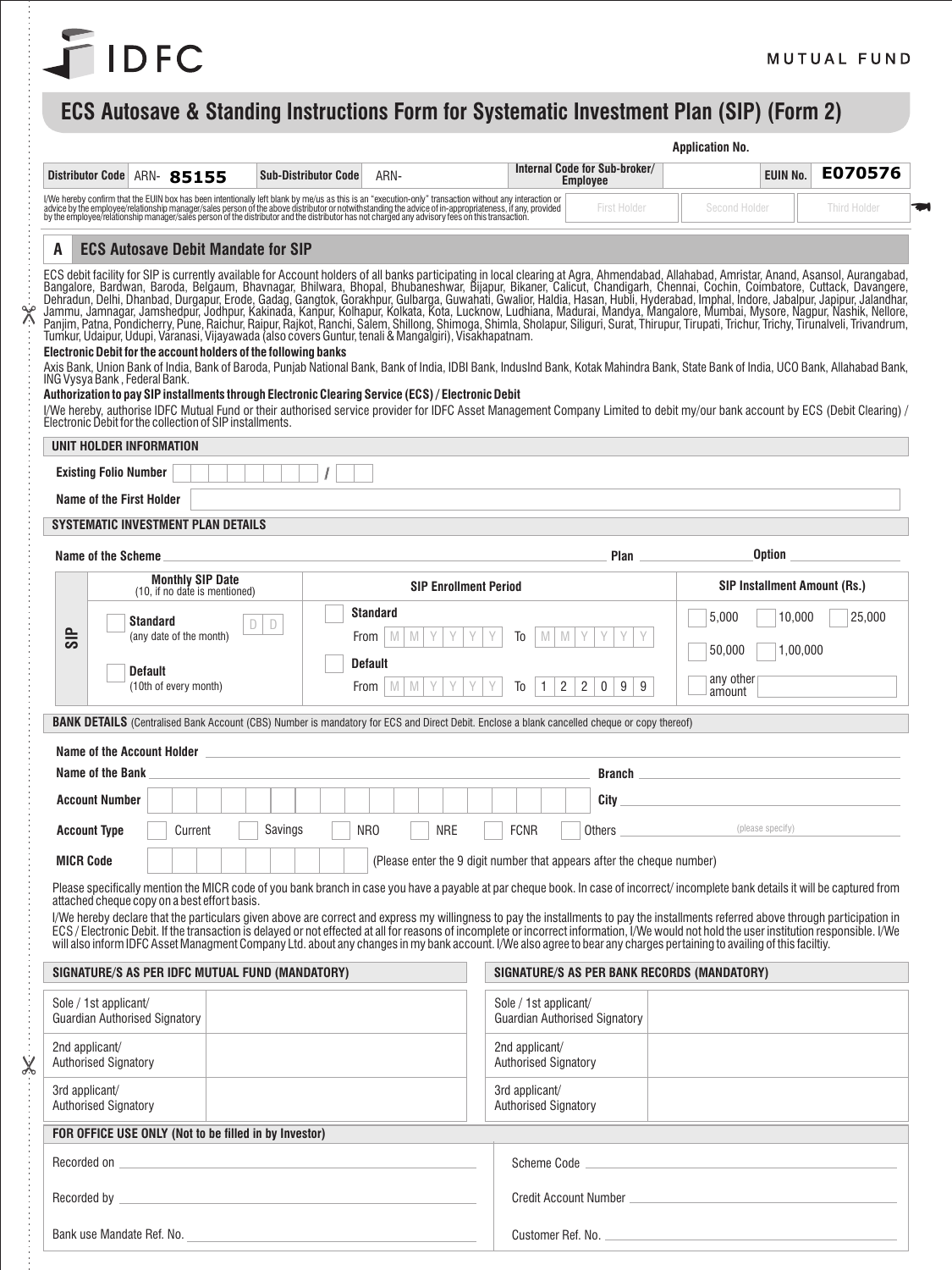

 $\frac{1}{2}$ 

 $\overline{\mathsf{X}}$ 

## **ECS Autosave & Standing Instructions Form for Systematic Investment Plan (SIP) (Form 2)**

| Internal Code for Sub-broker/<br><b>Distributor Code</b><br>ARN- 85155<br><b>Sub-Distributor Code</b><br>ARN-<br><b>Employee</b><br>I/We hereby confirm that the EUIN box has been intentionally left blank by me/us as this is an "execution-only" transaction without any interaction or<br>advice by the employee/relationship manager/sales person of the above d<br>Second Holder<br>First Holder                                                                                                                                                                                                                                                                                                                                                                                                                                                                                                                                                                                                                                                                                                                                                                                                                                                                                                                                                                                                                        | E070576<br><b>EUIN No.</b>   |
|-------------------------------------------------------------------------------------------------------------------------------------------------------------------------------------------------------------------------------------------------------------------------------------------------------------------------------------------------------------------------------------------------------------------------------------------------------------------------------------------------------------------------------------------------------------------------------------------------------------------------------------------------------------------------------------------------------------------------------------------------------------------------------------------------------------------------------------------------------------------------------------------------------------------------------------------------------------------------------------------------------------------------------------------------------------------------------------------------------------------------------------------------------------------------------------------------------------------------------------------------------------------------------------------------------------------------------------------------------------------------------------------------------------------------------|------------------------------|
|                                                                                                                                                                                                                                                                                                                                                                                                                                                                                                                                                                                                                                                                                                                                                                                                                                                                                                                                                                                                                                                                                                                                                                                                                                                                                                                                                                                                                               |                              |
|                                                                                                                                                                                                                                                                                                                                                                                                                                                                                                                                                                                                                                                                                                                                                                                                                                                                                                                                                                                                                                                                                                                                                                                                                                                                                                                                                                                                                               | Third Holder                 |
| <b>ECS Autosave Debit Mandate for SIP</b><br>A                                                                                                                                                                                                                                                                                                                                                                                                                                                                                                                                                                                                                                                                                                                                                                                                                                                                                                                                                                                                                                                                                                                                                                                                                                                                                                                                                                                |                              |
| ECS debit facility for SIP is currently available for Account holders of all banks participating in local clearing at Agra, Ahmendabad, Allahabad, Amristar, Anand, Asansol, Aurangabad,<br>Bangalore, Bardwan, Baroda, Belgaum,<br>Dehradun, Delhi, Dhanbad, Durgapur, Erode, Gadag, Gangtok, Gorakhpur, Gulbarga, Guwahati, Gwalior, Haldia, Hasan, Hubli, Hasan, Hubli, Hyderabad, Imphal, Indore, Jabalpur, Japipur, Jalandhar,<br>Jammu, Jamnagar, Jamshedpur, J<br>Panjim, Patna, Pondicherry, Pune, Raichur, Raipur, Rajkot, Ranchi, Salem, Shillong, Shimoga, Shimla, Sholapur, Siliguri, Surat, Thirupur, Tirupati, Trichur, Trichy, Tirunalveli, Trivandrum,<br>Tumkur, Udaipur, Udupi, Varanasi, Vijayawada (also covers Guntur, tenali & Mangalgiri), Visakhapatnam.<br>Electronic Debit for the account holders of the following banks<br>Axis Bank. Union Bank of India. Bank of Baroda, Puniab National Bank, Bank of India, IDBI Bank, IndusInd Bank, Kotak Mahindra Bank, State Bank of India, UCO Bank, Allahabad Bank,<br>ING Vysya Bank, Federal Bank.<br>Authorization to pay SIP installments through Electronic Clearing Service (ECS) / Electronic Debit<br>I/We hereby, authorise IDFC Mutual Fund or their authorised service provider for IDFC Asset Management Company Limited to debit my/our bank account by ECS (Debit Clearing) /<br>Electronic Debit for the collection of SIP installments. |                              |
| UNIT HOLDER INFORMATION                                                                                                                                                                                                                                                                                                                                                                                                                                                                                                                                                                                                                                                                                                                                                                                                                                                                                                                                                                                                                                                                                                                                                                                                                                                                                                                                                                                                       |                              |
| <b>Existing Folio Number</b>                                                                                                                                                                                                                                                                                                                                                                                                                                                                                                                                                                                                                                                                                                                                                                                                                                                                                                                                                                                                                                                                                                                                                                                                                                                                                                                                                                                                  |                              |
| Name of the First Holder                                                                                                                                                                                                                                                                                                                                                                                                                                                                                                                                                                                                                                                                                                                                                                                                                                                                                                                                                                                                                                                                                                                                                                                                                                                                                                                                                                                                      |                              |
| <b>SYSTEMATIC INVESTMENT PLAN DETAILS</b>                                                                                                                                                                                                                                                                                                                                                                                                                                                                                                                                                                                                                                                                                                                                                                                                                                                                                                                                                                                                                                                                                                                                                                                                                                                                                                                                                                                     |                              |
| Option<br>Name of the Scheme<br>Plan                                                                                                                                                                                                                                                                                                                                                                                                                                                                                                                                                                                                                                                                                                                                                                                                                                                                                                                                                                                                                                                                                                                                                                                                                                                                                                                                                                                          |                              |
| <b>Monthly SIP Date</b><br><b>SIP Enrollment Period</b><br>(10, if no date is mentioned)                                                                                                                                                                                                                                                                                                                                                                                                                                                                                                                                                                                                                                                                                                                                                                                                                                                                                                                                                                                                                                                                                                                                                                                                                                                                                                                                      | SIP Installment Amount (Rs.) |
| <b>Standard</b><br>5,000<br><b>Standard</b><br>D<br>D                                                                                                                                                                                                                                                                                                                                                                                                                                                                                                                                                                                                                                                                                                                                                                                                                                                                                                                                                                                                                                                                                                                                                                                                                                                                                                                                                                         | 10,000<br>25,000             |
| <b>SIP</b><br>(any date of the month)<br>M<br>M<br>From<br>M<br>Тo<br>M<br>50,000                                                                                                                                                                                                                                                                                                                                                                                                                                                                                                                                                                                                                                                                                                                                                                                                                                                                                                                                                                                                                                                                                                                                                                                                                                                                                                                                             | 1,00,000                     |
| Default<br><b>Default</b><br>any other<br>(10th of every month)<br>2<br>2<br>$\mathbf 0$<br>9<br>9<br>From<br>M<br>M<br>Тo                                                                                                                                                                                                                                                                                                                                                                                                                                                                                                                                                                                                                                                                                                                                                                                                                                                                                                                                                                                                                                                                                                                                                                                                                                                                                                    |                              |
| amount                                                                                                                                                                                                                                                                                                                                                                                                                                                                                                                                                                                                                                                                                                                                                                                                                                                                                                                                                                                                                                                                                                                                                                                                                                                                                                                                                                                                                        |                              |
| <b>BANK DETAILS</b> (Centralised Bank Account (CBS) Number is mandatory for ECS and Direct Debit. Enclose a blank cancelled cheque or copy thereof)                                                                                                                                                                                                                                                                                                                                                                                                                                                                                                                                                                                                                                                                                                                                                                                                                                                                                                                                                                                                                                                                                                                                                                                                                                                                           |                              |
| Name of the Account Holder Name of the Account Holder                                                                                                                                                                                                                                                                                                                                                                                                                                                                                                                                                                                                                                                                                                                                                                                                                                                                                                                                                                                                                                                                                                                                                                                                                                                                                                                                                                         |                              |
| Name of the Bank<br><b>Branch Branch Branch Branch Branch</b>                                                                                                                                                                                                                                                                                                                                                                                                                                                                                                                                                                                                                                                                                                                                                                                                                                                                                                                                                                                                                                                                                                                                                                                                                                                                                                                                                                 |                              |
| <b>Account Number</b><br>City<br>Savings<br>NR <sub>0</sub><br>NRE<br><b>FCNR</b><br>(please specify)<br><b>Account Type</b><br>Others<br>Current                                                                                                                                                                                                                                                                                                                                                                                                                                                                                                                                                                                                                                                                                                                                                                                                                                                                                                                                                                                                                                                                                                                                                                                                                                                                             |                              |
|                                                                                                                                                                                                                                                                                                                                                                                                                                                                                                                                                                                                                                                                                                                                                                                                                                                                                                                                                                                                                                                                                                                                                                                                                                                                                                                                                                                                                               |                              |
| <b>MICR Code</b><br>(Please enter the 9 digit number that appears after the cheque number)                                                                                                                                                                                                                                                                                                                                                                                                                                                                                                                                                                                                                                                                                                                                                                                                                                                                                                                                                                                                                                                                                                                                                                                                                                                                                                                                    |                              |
| Please specifically mention the MICR code of you bank branch in case you have a payable at par cheque book. In case of incorrect/ incomplete bank details it will be captured from<br>attached cheque copy on a best effort basis.                                                                                                                                                                                                                                                                                                                                                                                                                                                                                                                                                                                                                                                                                                                                                                                                                                                                                                                                                                                                                                                                                                                                                                                            |                              |
| I/We hereby declare that the particulars given above are correct and express my willingness to pay the installments to pay the installments referred above through participation in<br>ECS / Electronic Debit. If the transaction is delayed or not effected at all for reasons of incomplete or incorrect information, I/We would not hold the user institution responsible. I/We                                                                                                                                                                                                                                                                                                                                                                                                                                                                                                                                                                                                                                                                                                                                                                                                                                                                                                                                                                                                                                            |                              |
| will also inform IDFC Asset Managment Company Ltd. about any changes in my bank account. I/We also agree to bear any charges pertaining to availing of this faciltiy.                                                                                                                                                                                                                                                                                                                                                                                                                                                                                                                                                                                                                                                                                                                                                                                                                                                                                                                                                                                                                                                                                                                                                                                                                                                         |                              |
| SIGNATURE/S AS PER IDFC MUTUAL FUND (MANDATORY)<br>SIGNATURE/S AS PER BANK RECORDS (MANDATORY)                                                                                                                                                                                                                                                                                                                                                                                                                                                                                                                                                                                                                                                                                                                                                                                                                                                                                                                                                                                                                                                                                                                                                                                                                                                                                                                                |                              |
| Sole / 1st applicant/<br>Sole / 1st applicant/<br><b>Guardian Authorised Signatory</b><br><b>Guardian Authorised Signatory</b>                                                                                                                                                                                                                                                                                                                                                                                                                                                                                                                                                                                                                                                                                                                                                                                                                                                                                                                                                                                                                                                                                                                                                                                                                                                                                                |                              |
| 2nd applicant/<br>2nd applicant/<br><b>Authorised Signatory</b><br>Authorised Signatory                                                                                                                                                                                                                                                                                                                                                                                                                                                                                                                                                                                                                                                                                                                                                                                                                                                                                                                                                                                                                                                                                                                                                                                                                                                                                                                                       |                              |
| 3rd applicant/<br>3rd applicant/<br><b>Authorised Signatory</b><br><b>Authorised Signatory</b>                                                                                                                                                                                                                                                                                                                                                                                                                                                                                                                                                                                                                                                                                                                                                                                                                                                                                                                                                                                                                                                                                                                                                                                                                                                                                                                                |                              |
| FOR OFFICE USE ONLY (Not to be filled in by Investor)                                                                                                                                                                                                                                                                                                                                                                                                                                                                                                                                                                                                                                                                                                                                                                                                                                                                                                                                                                                                                                                                                                                                                                                                                                                                                                                                                                         |                              |
| Recorded on <u>experimental and the contract of the contract of the contract of the contract of the contract of the contract of the contract of the contract of the contract of the contract of the contract of the contract of </u>                                                                                                                                                                                                                                                                                                                                                                                                                                                                                                                                                                                                                                                                                                                                                                                                                                                                                                                                                                                                                                                                                                                                                                                          |                              |
|                                                                                                                                                                                                                                                                                                                                                                                                                                                                                                                                                                                                                                                                                                                                                                                                                                                                                                                                                                                                                                                                                                                                                                                                                                                                                                                                                                                                                               |                              |
|                                                                                                                                                                                                                                                                                                                                                                                                                                                                                                                                                                                                                                                                                                                                                                                                                                                                                                                                                                                                                                                                                                                                                                                                                                                                                                                                                                                                                               |                              |